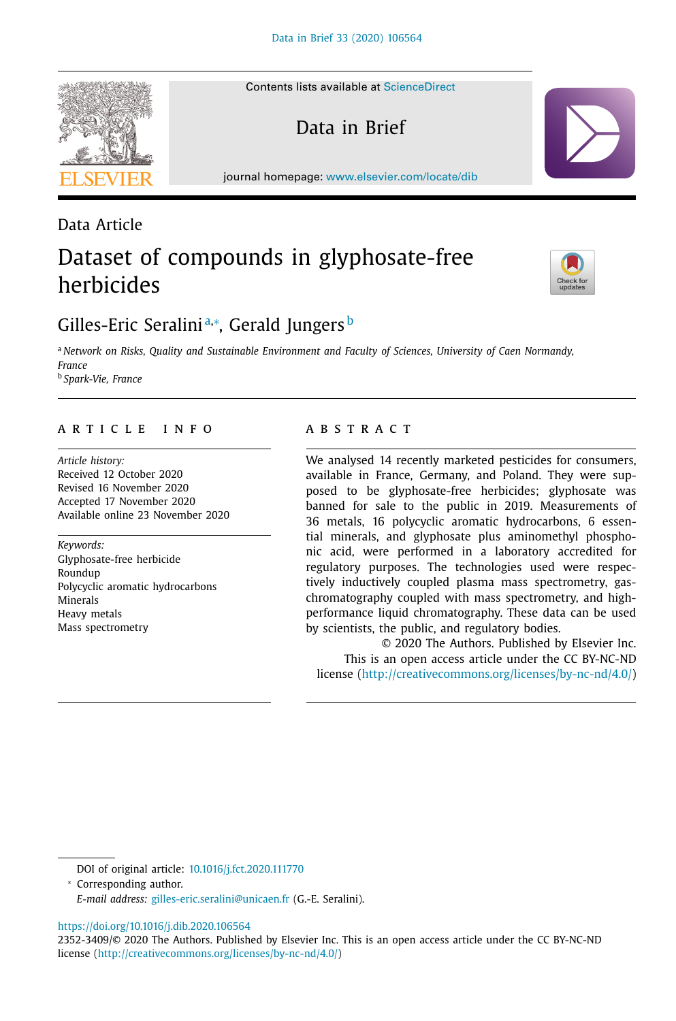Contents lists available at [ScienceDirect](http://www.ScienceDirect.com)

Data in Brief

journal homepage: [www.elsevier.com/locate/dib](http://www.elsevier.com/locate/dib)

# Data Article Dataset of compounds in glyphosate-free herbicides



# Gilles-Eric Seraliniª,\*, Gerald Jungers <sup>b</sup>

<sup>a</sup> *Network on Risks, Quality and Sustainable Environment and Faculty of Sciences, University of Caen Normandy, France* <sup>b</sup> *Spark-Vie, France*

#### a r t i c l e i n f o

*Article history:* Received 12 October 2020 Revised 16 November 2020 Accepted 17 November 2020 Available online 23 November 2020

*Keywords:* Glyphosate-free herbicide Roundup Polycyclic aromatic hydrocarbons Minerals Heavy metals Mass spectrometry

# a b s t r a c t

We analysed 14 recently marketed pesticides for consumers, available in France, Germany, and Poland. They were supposed to be glyphosate-free herbicides; glyphosate was banned for sale to the public in 2019. Measurements of 36 metals, 16 polycyclic aromatic hydrocarbons, 6 essential minerals, and glyphosate plus aminomethyl phosphonic acid, were performed in a laboratory accredited for regulatory purposes. The technologies used were respectively inductively coupled plasma mass spectrometry, gaschromatography coupled with mass spectrometry, and highperformance liquid chromatography. These data can be used by scientists, the public, and regulatory bodies.

© 2020 The Authors. Published by Elsevier Inc. This is an open access article under the CC BY-NC-ND license [\(http://creativecommons.org/licenses/by-nc-nd/4.0/\)](http://creativecommons.org/licenses/by-nc-nd/4.0/)

DOI of original article: [10.1016/j.fct.2020.111770](https://doi.org/10.1016/j.fct.2020.111770)

<sup>∗</sup> Corresponding author.

*E-mail address:* [gilles-eric.seralini@unicaen.fr](mailto:gilles-eric.seralini@unicaen.fr) (G.-E. Seralini).

<https://doi.org/10.1016/j.dib.2020.106564>

2352-3409/© 2020 The Authors. Published by Elsevier Inc. This is an open access article under the CC BY-NC-ND license [\(http://creativecommons.org/licenses/by-nc-nd/4.0/\)](http://creativecommons.org/licenses/by-nc-nd/4.0/)

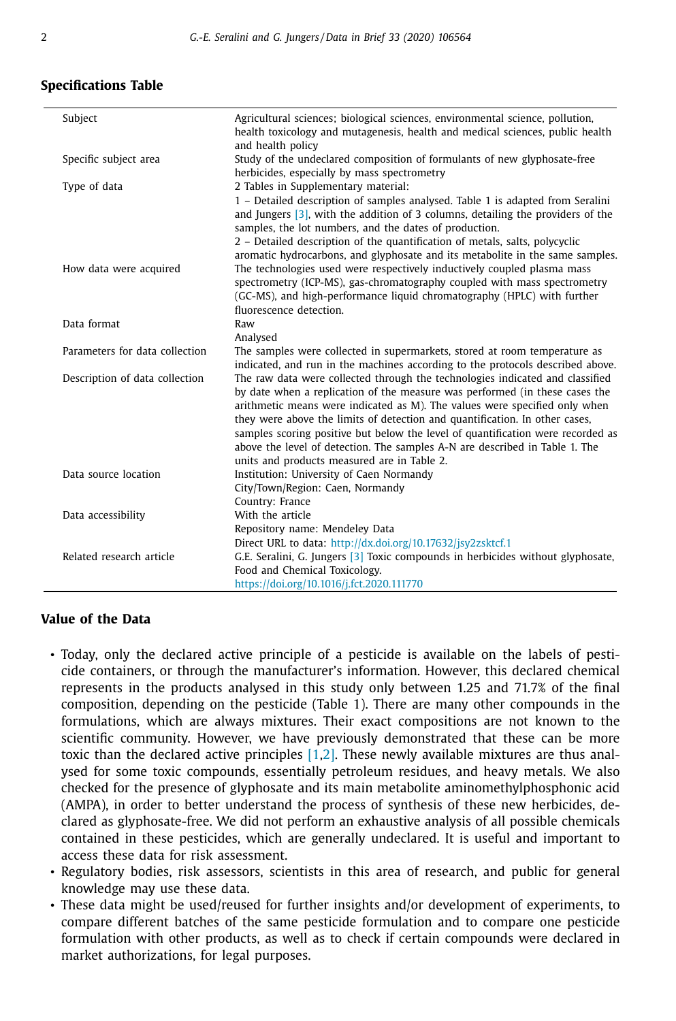# **Specifications Table**

| Subject                        | Agricultural sciences; biological sciences, environmental science, pollution,      |
|--------------------------------|------------------------------------------------------------------------------------|
|                                | health toxicology and mutagenesis, health and medical sciences, public health      |
|                                | and health policy                                                                  |
| Specific subject area          | Study of the undeclared composition of formulants of new glyphosate-free           |
|                                | herbicides, especially by mass spectrometry                                        |
| Type of data                   | 2 Tables in Supplementary material:                                                |
|                                | 1 – Detailed description of samples analysed. Table 1 is adapted from Seralini     |
|                                | and Jungers $[3]$ , with the addition of 3 columns, detailing the providers of the |
|                                | samples, the lot numbers, and the dates of production.                             |
|                                | 2 - Detailed description of the quantification of metals, salts, polycyclic        |
|                                | aromatic hydrocarbons, and glyphosate and its metabolite in the same samples.      |
| How data were acquired         | The technologies used were respectively inductively coupled plasma mass            |
|                                | spectrometry (ICP-MS), gas-chromatography coupled with mass spectrometry           |
|                                | (GC-MS), and high-performance liquid chromatography (HPLC) with further            |
|                                | fluorescence detection.                                                            |
| Data format                    | Raw                                                                                |
|                                | Analysed                                                                           |
| Parameters for data collection | The samples were collected in supermarkets, stored at room temperature as          |
|                                | indicated, and run in the machines according to the protocols described above.     |
| Description of data collection | The raw data were collected through the technologies indicated and classified      |
|                                | by date when a replication of the measure was performed (in these cases the        |
|                                | arithmetic means were indicated as M). The values were specified only when         |
|                                | they were above the limits of detection and quantification. In other cases,        |
|                                | samples scoring positive but below the level of quantification were recorded as    |
|                                | above the level of detection. The samples A-N are described in Table 1. The        |
|                                | units and products measured are in Table 2.                                        |
| Data source location           | Institution: University of Caen Normandy                                           |
|                                | City/Town/Region: Caen, Normandy                                                   |
|                                | Country: France                                                                    |
| Data accessibility             | With the article                                                                   |
|                                | Repository name: Mendeley Data                                                     |
|                                | Direct URL to data: http://dx.doi.org/10.17632/jsy2zsktcf.1                        |
| Related research article       | G.E. Seralini, G. Jungers [3] Toxic compounds in herbicides without glyphosate,    |
|                                | Food and Chemical Toxicology.                                                      |
|                                | https://doi.org/10.1016/j.fct.2020.111770                                          |

# **Value of the Data**

- Today, only the declared active principle of a pesticide is available on the labels of pesticide containers, or through the manufacturer's information. However, this declared chemical represents in the products analysed in this study only between 1.25 and 71.7% of the final composition, depending on the pesticide (Table 1). There are many other compounds in the formulations, which are always mixtures. Their exact compositions are not known to the scientific community. However, we have previously demonstrated that these can be more toxic than the declared active principles  $[1,2]$ . These newly available mixtures are thus analysed for some toxic compounds, essentially petroleum residues, and heavy metals. We also checked for the presence of glyphosate and its main metabolite aminomethylphosphonic acid (AMPA), in order to better understand the process of synthesis of these new herbicides, declared as glyphosate-free. We did not perform an exhaustive analysis of all possible chemicals contained in these pesticides, which are generally undeclared. It is useful and important to access these data for risk assessment.
- Regulatory bodies, risk assessors, scientists in this area of research, and public for general knowledge may use these data.
- These data might be used/reused for further insights and/or development of experiments, to compare different batches of the same pesticide formulation and to compare one pesticide formulation with other products, as well as to check if certain compounds were declared in market authorizations, for legal purposes.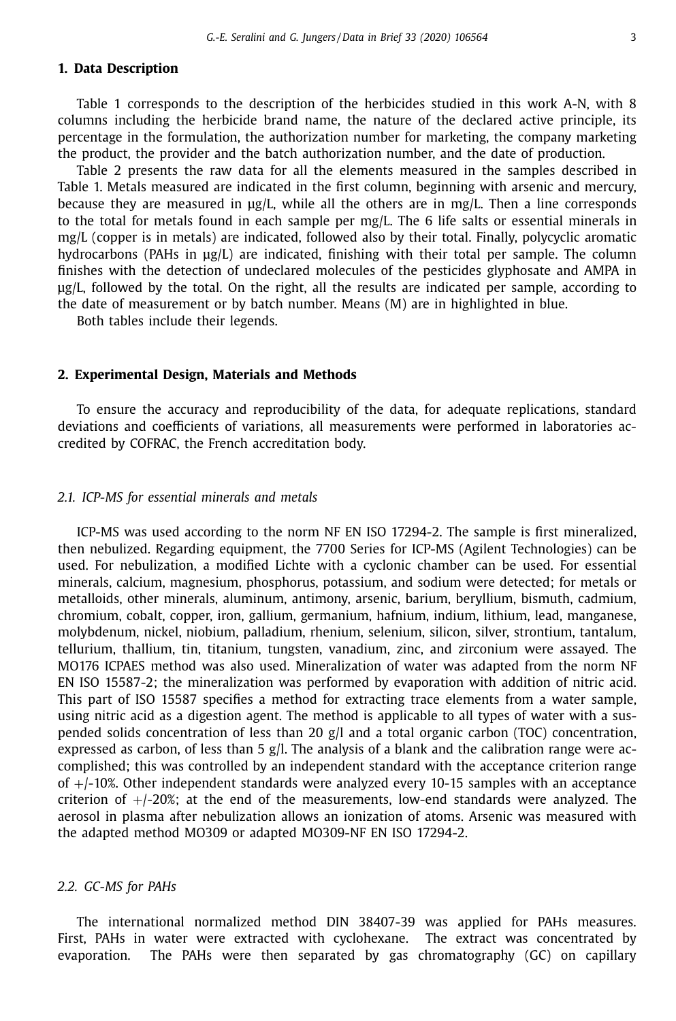# **1. Data Description**

Table 1 corresponds to the description of the herbicides studied in this work A-N, with 8 columns including the herbicide brand name, the nature of the declared active principle, its percentage in the formulation, the authorization number for marketing, the company marketing the product, the provider and the batch authorization number, and the date of production.

Table 2 presents the raw data for all the elements measured in the samples described in Table 1. Metals measured are indicated in the first column, beginning with arsenic and mercury, because they are measured in μg/L, while all the others are in mg/L. Then a line corresponds to the total for metals found in each sample per mg/L. The 6 life salts or essential minerals in mg/L (copper is in metals) are indicated, followed also by their total. Finally, polycyclic aromatic hydrocarbons (PAHs in μg/L) are indicated, finishing with their total per sample. The column finishes with the detection of undeclared molecules of the pesticides glyphosate and AMPA in μg/L, followed by the total. On the right, all the results are indicated per sample, according to the date of measurement or by batch number. Means (M) are in highlighted in blue.

Both tables include their legends.

#### **2. Experimental Design, Materials and Methods**

To ensure the accuracy and reproducibility of the data, for adequate replications, standard deviations and coefficients of variations, all measurements were performed in laboratories accredited by COFRAC, the French accreditation body.

#### *2.1. ICP-MS for essential minerals and metals*

ICP-MS was used according to the norm NF EN ISO 17294-2. The sample is first mineralized, then nebulized. Regarding equipment, the 7700 Series for ICP-MS (Agilent Technologies) can be used. For nebulization, a modified Lichte with a cyclonic chamber can be used. For essential minerals, calcium, magnesium, phosphorus, potassium, and sodium were detected; for metals or metalloids, other minerals, aluminum, antimony, arsenic, barium, beryllium, bismuth, cadmium, chromium, cobalt, copper, iron, gallium, germanium, hafnium, indium, lithium, lead, manganese, molybdenum, nickel, niobium, palladium, rhenium, selenium, silicon, silver, strontium, tantalum, tellurium, thallium, tin, titanium, tungsten, vanadium, zinc, and zirconium were assayed. The MO176 ICPAES method was also used. Mineralization of water was adapted from the norm NF EN ISO 15587-2; the mineralization was performed by evaporation with addition of nitric acid. This part of ISO 15587 specifies a method for extracting trace elements from a water sample, using nitric acid as a digestion agent. The method is applicable to all types of water with a suspended solids concentration of less than 20 g/l and a total organic carbon (TOC) concentration, expressed as carbon, of less than 5  $g/l$ . The analysis of a blank and the calibration range were accomplished; this was controlled by an independent standard with the acceptance criterion range of  $+/-10\%$ . Other independent standards were analyzed every 10-15 samples with an acceptance criterion of  $+/-20\%$ ; at the end of the measurements, low-end standards were analyzed. The aerosol in plasma after nebulization allows an ionization of atoms. Arsenic was measured with the adapted method MO309 or adapted MO309-NF EN ISO 17294-2.

#### *2.2. GC-MS for PAHs*

The international normalized method DIN 38407-39 was applied for PAHs measures. First, PAHs in water were extracted with cyclohexane. The extract was concentrated by evaporation. The PAHs were then separated by gas chromatography (GC) on capillary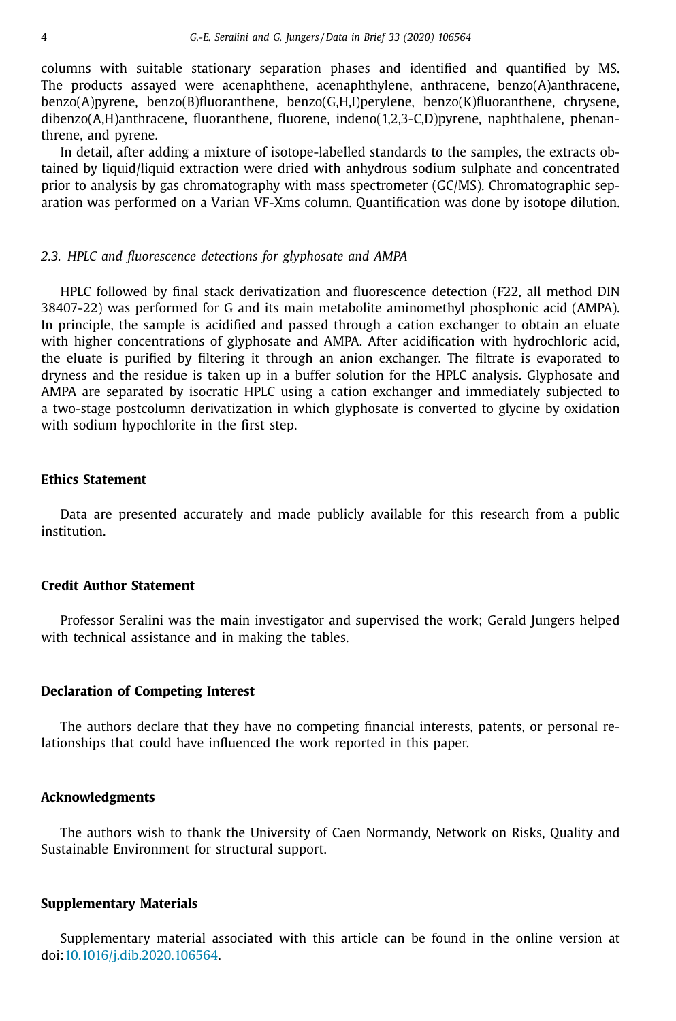columns with suitable stationary separation phases and identified and quantified by MS. The products assayed were acenaphthene, acenaphthylene, anthracene, benzo(A)anthracene, benzo(A)pyrene, benzo(B)fluoranthene, benzo(G,H,I)perylene, benzo(K)fluoranthene, chrysene, dibenzo(A,H)anthracene, fluoranthene, fluorene, indeno(1,2,3-C,D)pyrene, naphthalene, phenanthrene, and pyrene.

In detail, after adding a mixture of isotope-labelled standards to the samples, the extracts obtained by liquid/liquid extraction were dried with anhydrous sodium sulphate and concentrated prior to analysis by gas chromatography with mass spectrometer (GC/MS). Chromatographic separation was performed on a Varian VF-Xms column. Quantification was done by isotope dilution.

#### *2.3. HPLC and fluorescence detections for glyphosate and AMPA*

HPLC followed by final stack derivatization and fluorescence detection (F22, all method DIN 38407-22) was performed for G and its main metabolite aminomethyl phosphonic acid (AMPA). In principle, the sample is acidified and passed through a cation exchanger to obtain an eluate with higher concentrations of glyphosate and AMPA. After acidification with hydrochloric acid, the eluate is purified by filtering it through an anion exchanger. The filtrate is evaporated to dryness and the residue is taken up in a buffer solution for the HPLC analysis. Glyphosate and AMPA are separated by isocratic HPLC using a cation exchanger and immediately subjected to a two-stage postcolumn derivatization in which glyphosate is converted to glycine by oxidation with sodium hypochlorite in the first step.

#### **Ethics Statement**

Data are presented accurately and made publicly available for this research from a public institution.

#### **Credit Author Statement**

Professor Seralini was the main investigator and supervised the work; Gerald Jungers helped with technical assistance and in making the tables.

## **Declaration of Competing Interest**

The authors declare that they have no competing financial interests, patents, or personal relationships that could have influenced the work reported in this paper.

#### **Acknowledgments**

The authors wish to thank the University of Caen Normandy, Network on Risks, Quality and Sustainable Environment for structural support.

#### **Supplementary Materials**

Supplementary material associated with this article can be found in the online version at doi[:10.1016/j.dib.2020.106564.](https://doi.org/10.1016/j.dib.2020.106564)